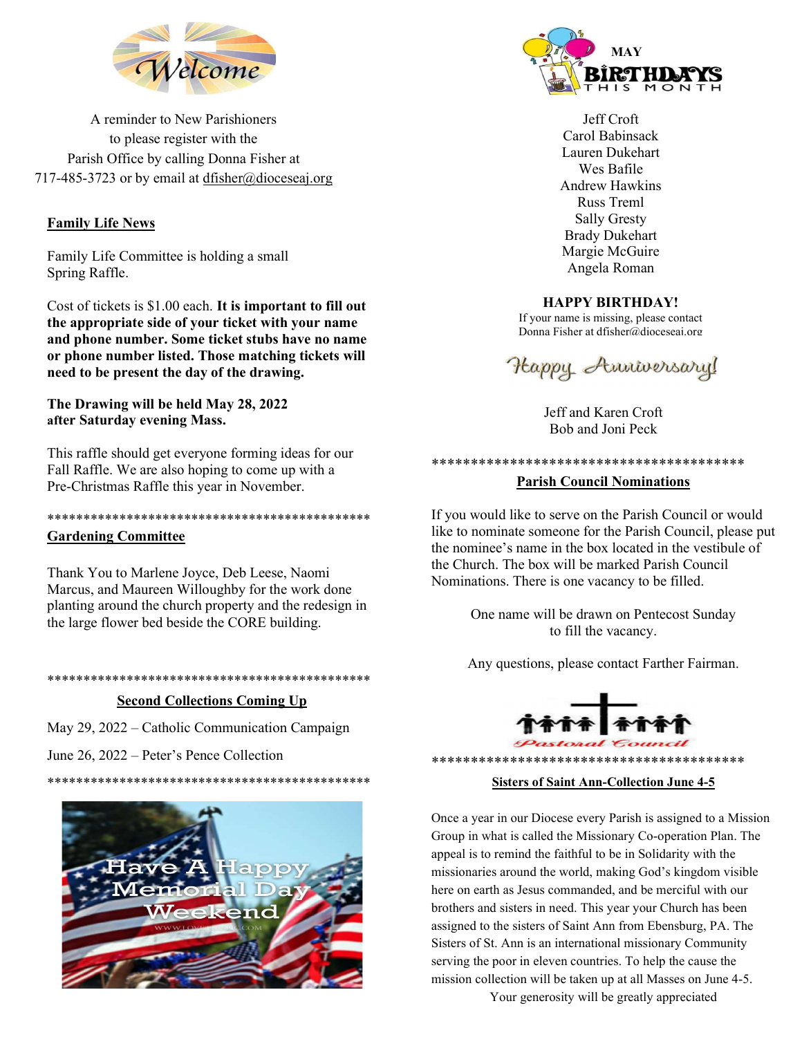

A reminder to New Parishioners to please register with the Parish Office by calling Donna Fisher at 717-485-3723 or by email at dfisher@dioceseaj.org

# Family Life News

Family Life Committee is holding a small Spring Raffle.

Cost of tickets is \$1.00 each. It is important to fill out the appropriate side of your ticket with your name and phone number. Some ticket stubs have no name or phone number listed. Those matching tickets will need to be present the day of the drawing.

## The Drawing will be held May 28, 2022 after Saturday evening Mass.

This raffle should get everyone forming ideas for our Fall Raffle. We are also hoping to come up with a Pre-Christmas Raffle this year in November.

# \*\*\*\*\*\*\*\*\*\*\*\*\*\*\*\*\*\*\*\*\*\*\*\*\*\*\*\*\*\*\*\*\*\*\*\*\*\*\*\*\*\*\*\*\*

## Gardening Committee

Thank You to Marlene Joyce, Deb Leese, Naomi Marcus, and Maureen Willoughby for the work done planting around the church property and the redesign in the large flower bed beside the CORE building.

\*\*\*\*\*\*\*\*\*\*\*\*\*\*\*\*\*\*\*\*\*\*\*\*\*\*\*\*\*\*\*\*\*\*\*\*\*\*\*\*\*\*\*\*\*

#### Second Collections Coming Up

May 29, 2022 – Catholic Communication Campaign

June 26, 2022 – Peter's Pence Collection





Jeff Croft Carol Babinsack Lauren Dukehart Wes Bafile Andrew Hawkins Russ Treml Sally Gresty Brady Dukehart Margie McGuire Angela Roman

## HAPPY BIRTHDAY!

If your name is missing, please contact Donna Fisher at dfisher@dioceseaj.org



Jeff and Karen Croft Bob and Joni Peck

\*\*\*\*\*\*\*\*\*\*\*\*\*\*\*\*\*\*\*\*\*\*\*\*\*\*\*\*\*\*\*\*\*\*\*\*\*\*\*\*

#### Parish Council Nominations

If you would like to serve on the Parish Council or would like to nominate someone for the Parish Council, please put the nominee's name in the box located in the vestibule of the Church. The box will be marked Parish Council Nominations. There is one vacancy to be filled.

> One name will be drawn on Pentecost Sunday to fill the vacancy.

Any questions, please contact Farther Fairman.



#### Sisters of Saint Ann-Collection June 4-5

\*\*\*\*\*\*\*\*\*\*\*\*\*\*\*\*\*\*\*\*\*\*\*\*\*\*\*\*\*\*\*\*\*\*\*\*\*\*\*\*

Once a year in our Diocese every Parish is assigned to a Mission Group in what is called the Missionary Co-operation Plan. The appeal is to remind the faithful to be in Solidarity with the missionaries around the world, making God's kingdom visible here on earth as Jesus commanded, and be merciful with our brothers and sisters in need. This year your Church has been assigned to the sisters of Saint Ann from Ebensburg, PA. The Sisters of St. Ann is an international missionary Community serving the poor in eleven countries. To help the cause the mission collection will be taken up at all Masses on June 4-5.

Your generosity will be greatly appreciated